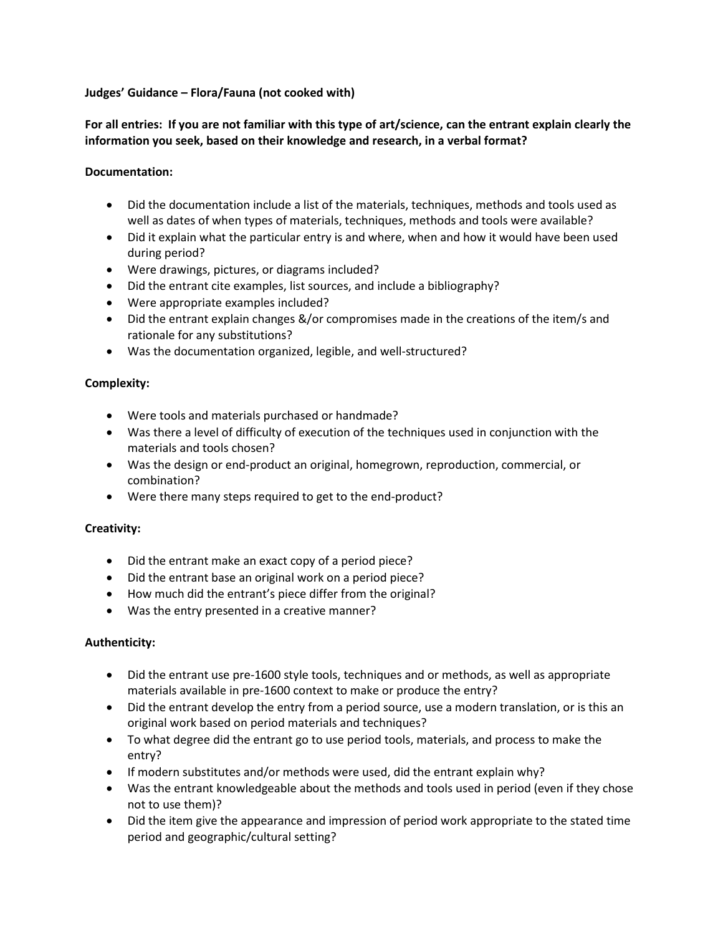## **Judges' Guidance – Flora/Fauna (not cooked with)**

# **For all entries: If you are not familiar with this type of art/science, can the entrant explain clearly the information you seek, based on their knowledge and research, in a verbal format?**

# **Documentation:**

- Did the documentation include a list of the materials, techniques, methods and tools used as well as dates of when types of materials, techniques, methods and tools were available?
- Did it explain what the particular entry is and where, when and how it would have been used during period?
- Were drawings, pictures, or diagrams included?
- Did the entrant cite examples, list sources, and include a bibliography?
- Were appropriate examples included?
- Did the entrant explain changes &/or compromises made in the creations of the item/s and rationale for any substitutions?
- Was the documentation organized, legible, and well-structured?

## **Complexity:**

- Were tools and materials purchased or handmade?
- Was there a level of difficulty of execution of the techniques used in conjunction with the materials and tools chosen?
- Was the design or end-product an original, homegrown, reproduction, commercial, or combination?
- Were there many steps required to get to the end-product?

### **Creativity:**

- Did the entrant make an exact copy of a period piece?
- Did the entrant base an original work on a period piece?
- How much did the entrant's piece differ from the original?
- Was the entry presented in a creative manner?

### **Authenticity:**

- Did the entrant use pre-1600 style tools, techniques and or methods, as well as appropriate materials available in pre-1600 context to make or produce the entry?
- Did the entrant develop the entry from a period source, use a modern translation, or is this an original work based on period materials and techniques?
- To what degree did the entrant go to use period tools, materials, and process to make the entry?
- If modern substitutes and/or methods were used, did the entrant explain why?
- Was the entrant knowledgeable about the methods and tools used in period (even if they chose not to use them)?
- Did the item give the appearance and impression of period work appropriate to the stated time period and geographic/cultural setting?